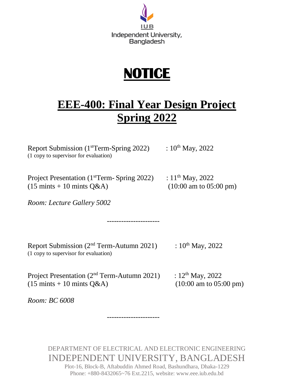

## **NOTICE**

## **EEE-400: Final Year Design Project Spring 2022**

Report Submission (1<sup>st</sup>Term-Spring 2022) :  $10^{th}$  May, 2022 (1 copy to supervisor for evaluation)

Project Presentation (1<sup>st</sup>Term- Spring 2022) : 11<sup>th</sup> May, 2022  $(15 \text{ mints} + 10 \text{ mints } Q\&A)$  (10:00 am to 05:00 pm)

*Room: Lecture Gallery 5002*

Report Submission ( $2<sup>nd</sup> Term-Autumn$  2021) :  $10<sup>th</sup> May, 2022$ (1 copy to supervisor for evaluation)

----------------------

Project Presentation ( $2<sup>nd</sup>$  Term-Autumn 2021) :  $12<sup>th</sup>$  May, 2022  $(15 \text{ mints} + 10 \text{ mints } Q\&A)$  (10:00 am to 05:00 pm)

*Room: BC 6008*

DEPARTMENT OF ELECTRICAL AND ELECTRONIC ENGINEERING INDEPENDENT UNIVERSITY, BANGLADESH

----------------------

Plot-16, Block-B, Aftabuddin Ahmed Road, Bashundhara, Dhaka-1229 Phone: +880-8432065~76 Ext.2215, website: www.eee.iub.edu.bd